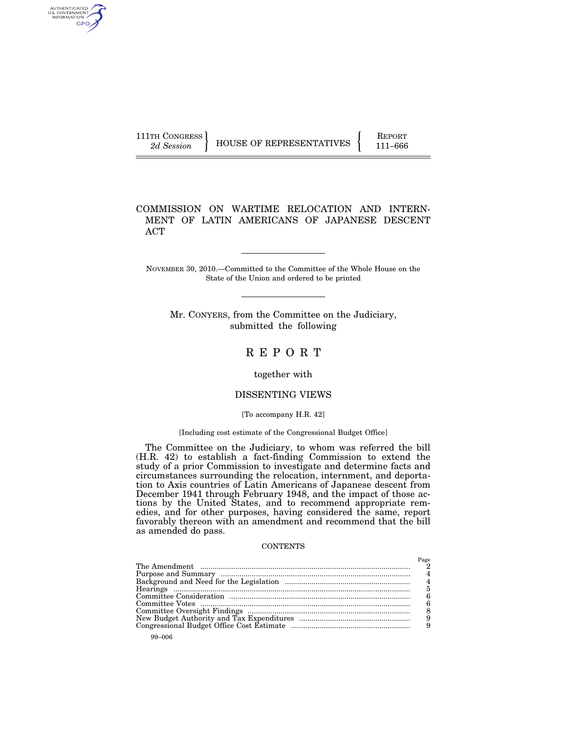AUTHENTICATED<br>U.S. GOVERNMENT<br>INFORMATION GPO

111TH CONGRESS HOUSE OF REPRESENTATIVES FEPORT 111–666

# COMMISSION ON WARTIME RELOCATION AND INTERN-MENT OF LATIN AMERICANS OF JAPANESE DESCENT ACT

NOVEMBER 30, 2010.—Committed to the Committee of the Whole House on the State of the Union and ordered to be printed

Mr. CONYERS, from the Committee on the Judiciary, submitted the following

# R E P O R T

# together with

#### DISSENTING VIEWS

#### [To accompany H.R. 42]

# [Including cost estimate of the Congressional Budget Office]

The Committee on the Judiciary, to whom was referred the bill (H.R. 42) to establish a fact-finding Commission to extend the study of a prior Commission to investigate and determine facts and circumstances surrounding the relocation, internment, and deportation to Axis countries of Latin Americans of Japanese descent from December 1941 through February 1948, and the impact of those actions by the United States, and to recommend appropriate remedies, and for other purposes, having considered the same, report favorably thereon with an amendment and recommend that the bill as amended do pass.

#### CONTENTS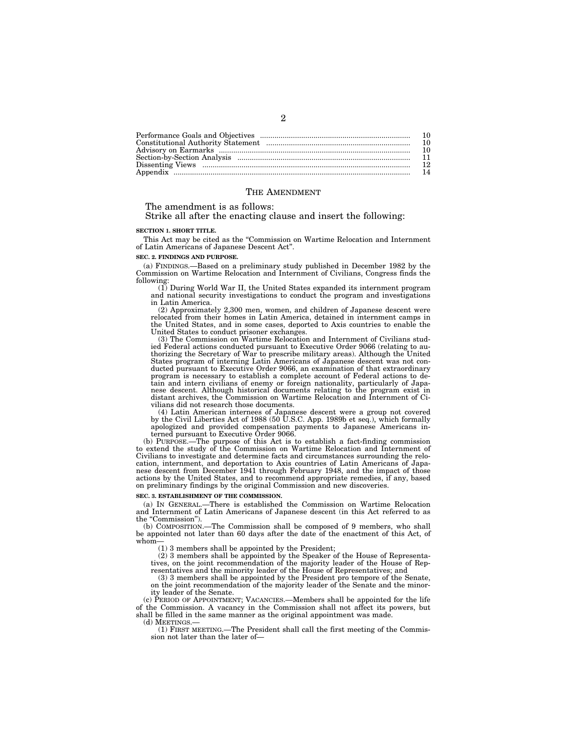| 10  |
|-----|
| 10  |
|     |
|     |
| 12. |
| 14  |

#### THE AMENDMENT

The amendment is as follows:

Strike all after the enacting clause and insert the following:

#### **SECTION 1. SHORT TITLE.**

This Act may be cited as the ''Commission on Wartime Relocation and Internment of Latin Americans of Japanese Descent Act''.

**SEC. 2. FINDINGS AND PURPOSE.** 

(a) FINDINGS.—Based on a preliminary study published in December 1982 by the Commission on Wartime Relocation and Internment of Civilians, Congress finds the following:

(1) During World War II, the United States expanded its internment program and national security investigations to conduct the program and investigations in Latin America.

(2) Approximately 2,300 men, women, and children of Japanese descent were relocated from their homes in Latin America, detained in internment camps in the United States, and in some cases, deported to Axis countries to enable the United States to conduct prisoner exchanges.

(3) The Commission on Wartime Relocation and Internment of Civilians studied Federal actions conducted pursuant to Executive Order 9066 (relating to authorizing the Secretary of War to prescribe military areas). Although the United States program of interning Latin Americans of Japanese descent was not conducted pursuant to Executive Order 9066, an examination of that extraordinary program is necessary to establish a complete account of Federal actions to detain and intern civilians of enemy or foreign nationality, particularly of Japanese descent. Although historical documents relating to the program exist in distant archives, the Commission on Wartime Relocation and Internment of Civilians did not research those documents.

(4) Latin American internees of Japanese descent were a group not covered by the Civil Liberties Act of 1988 (50 U.S.C. App. 1989b et seq.), which formally apologized and provided compensation payments to Japanese Americans interned pursuant to Executive Order 9066.

(b) PURPOSE.—The purpose of this Act is to establish a fact-finding commission to extend the study of the Commission on Wartime Relocation and Internment of Civilians to investigate and determine facts and circumstances surrounding the relocation, internment, and deportation to Axis countries of Latin Americans of Japanese descent from December 1941 through February 1948, and the impact of those actions by the United States, and to recommend appropriate remedies, if any, based on preliminary findings by the original Commission and new discoveries.

#### **SEC. 3. ESTABLISHMENT OF THE COMMISSION.**

(a) IN GENERAL.—There is established the Commission on Wartime Relocation and Internment of Latin Americans of Japanese descent (in this Act referred to as the "Commission").

(b) COMPOSITION.—The Commission shall be composed of 9 members, who shall be appointed not later than 60 days after the date of the enactment of this Act, of whom

(1) 3 members shall be appointed by the President; (2) 3 members shall be appointed by the Speaker of the House of Representatives, on the joint recommendation of the majority leader of the House of Representatives and the minority leader of the House of Representatives; and

(3) 3 members shall be appointed by the President pro tempore of the Senate, on the joint recommendation of the majority leader of the Senate and the minority leader of the Senate.

(c) PERIOD OF APPOINTMENT; VACANCIES.—Members shall be appointed for the life of the Commission. A vacancy in the Commission shall not affect its powers, but shall be filled in the same manner as the original appointment was made.

(d) MEETINGS.—

(1) FIRST MEETING.—The President shall call the first meeting of the Commission not later than the later of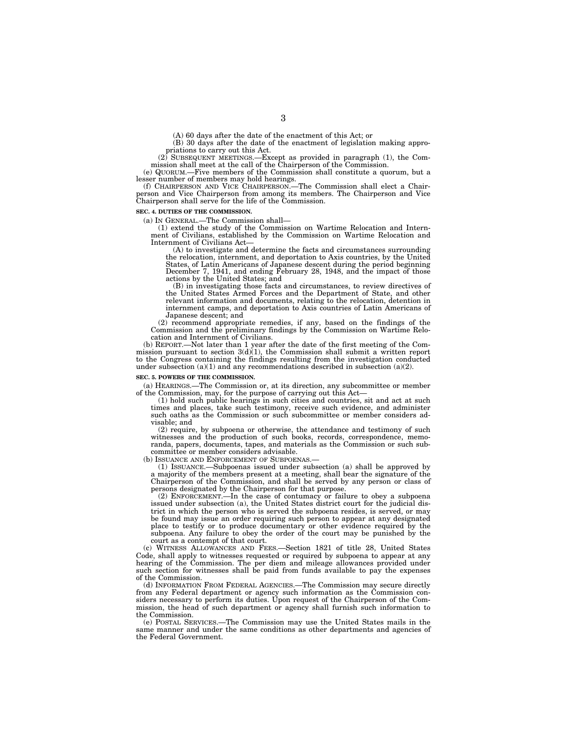(A) 60 days after the date of the enactment of this Act; or

(B) 30 days after the date of the enactment of legislation making appro-

priations to carry out this Act.<br>
(2) SUBSEQUENT MEETINGS.—Except as provided in paragraph (1), the Com-<br>
mission shall meet at the call of the Chairperson of the Commission.

(e) QUORUM.—Five members of the Commission shall constitute a quorum, but a lesser number of members may hold hearings. (f) CHAIRPERSON AND VICE CHAIRPERSON.—The Commission shall elect a Chair-

person and Vice Chairperson from among its members. The Chairperson and Vice Chairperson shall serve for the life of the Commission.

#### **SEC. 4. DUTIES OF THE COMMISSION.**

(a) IN GENERAL.—The Commission shall— (1) extend the study of the Commission on Wartime Relocation and Internment of Civilians, established by the Commission on Wartime Relocation and Internment of Civilians Act—

(A) to investigate and determine the facts and circumstances surrounding the relocation, internment, and deportation to Axis countries, by the United States, of Latin Americans of Japanese descent during the period beginning December 7, 1941, and ending February 28, 1948, and the impact of those actions by the United States; and

(B) in investigating those facts and circumstances, to review directives of the United States Armed Forces and the Department of State, and other relevant information and documents, relating to the relocation, detention in internment camps, and deportation to Axis countries of Latin Americans of Japanese descent; and

(2) recommend appropriate remedies, if any, based on the findings of the Commission and the preliminary findings by the Commission on Wartime Relocation and Internment of Civilians.

(b) REPORT.—Not later than 1 year after the date of the first meeting of the Commission pursuant to section  $3(d)(1)$ , the Commission shall submit a written report to the Congress containing the findings resulting from the investigation conducted under subsection (a)(1) and any recommendations described in subsection (a)(2).

#### **SEC. 5. POWERS OF THE COMMISSION.**

(a) HEARINGS.—The Commission or, at its direction, any subcommittee or member of the Commission, may, for the purpose of carrying out this Act—

(1) hold such public hearings in such cities and countries, sit and act at such times and places, take such testimony, receive such evidence, and administer such oaths as the Commission or such subcommittee or member considers advisable; and

(2) require, by subpoena or otherwise, the attendance and testimony of such witnesses and the production of such books, records, correspondence, memoranda, papers, documents, tapes, and materials as the Commission or such subcommittee or member considers advisable.

(b) ISSUANCE AND ENFORCEMENT OF SUBPOENAS.-

(1) ISSUANCE.—Subpoenas issued under subsection (a) shall be approved by a majority of the members present at a meeting, shall bear the signature of the Chairperson of the Commission, and shall be served by any person or class of persons designated by the Chairperson for that purpose.

(2) ENFORCEMENT.—In the case of contumacy or failure to obey a subpoena issued under subsection (a), the United States district court for the judicial district in which the person who is served the subpoena resides, is served, or may be found may issue an order requiring such person to appear at any designated place to testify or to produce documentary or other evidence required by the subpoena. Any failure to obey the order of the court may be punished by the court as a contempt of that court.

(c) WITNESS ALLOWANCES AND FEES.—Section 1821 of title 28, United States Code, shall apply to witnesses requested or required by subpoena to appear at any hearing of the Commission. The per diem and mileage allowances provided under such section for witnesses shall be paid from funds available to pay the expenses of the Commission.

(d) INFORMATION FROM FEDERAL AGENCIES.—The Commission may secure directly from any Federal department or agency such information as the Commission considers necessary to perform its duties. Upon request of the Chairperson of the Commission, the head of such department or agency shall furnish such information to the Commission.

(e) POSTAL SERVICES.—The Commission may use the United States mails in the same manner and under the same conditions as other departments and agencies of the Federal Government.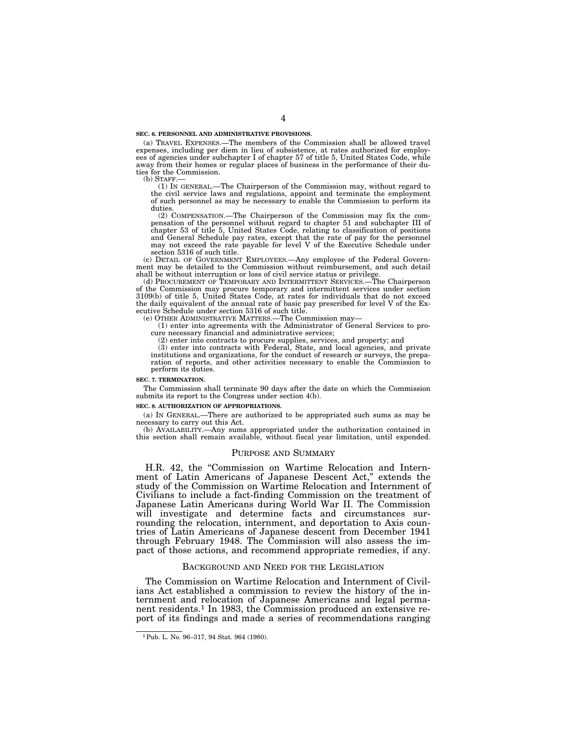#### **SEC. 6. PERSONNEL AND ADMINISTRATIVE PROVISIONS.**

(a) TRAVEL EXPENSES.—The members of the Commission shall be allowed travel expenses, including per diem in lieu of subsistence, at rates authorized for employ-ees of agencies under subchapter I of chapter 57 of title 5, United States Code, while away from their homes or regular places of business in the performance of their duties for the Commission.

(b) STAFF.— (1) IN GENERAL.—The Chairperson of the Commission may, without regard to the civil service laws and regulations, appoint and terminate the employment of such personnel as may be necessary to enable the Commission to perform its duties.

(2) COMPENSATION.—The Chairperson of the Commission may fix the com-pensation of the personnel without regard to chapter 51 and subchapter III of chapter 53 of title 5, United States Code, relating to classification of positions and General Schedule pay rates, except that the rate of pay for the personnel may not exceed the rate payable for level V of the Executive Schedule under section 5316 of such title.

(c) DETAIL OF GOVERNMENT EMPLOYEES.—Any employee of the Federal Govern-ment may be detailed to the Commission without reimbursement, and such detail shall be without interruption or loss of civil service status or privilege. (d) PROCUREMENT OF TEMPORARY AND INTERMITTENT SERVICES.—The Chairperson

of the Commission may procure temporary and intermittent services under section 3109(b) of title 5, United States Code, at rates for individuals that do not exceed the daily equivalent of the annual rate of basic pay prescribed for level V of the Executive Schedule under section 5316 of such title.

(e) OTHER ADMINISTRATIVE MATTERS.—The Commission may—

(1) enter into agreements with the Administrator of General Services to procure necessary financial and administrative services;

(2) enter into contracts to procure supplies, services, and property; and

(3) enter into contracts with Federal, State, and local agencies, and private institutions and organizations, for the conduct of research or surveys, the preparation of reports, and other activities necessary to enable the Commission to perform its duties.

#### **SEC. 7. TERMINATION.**

The Commission shall terminate 90 days after the date on which the Commission submits its report to the Congress under section 4(b).

#### **SEC. 8. AUTHORIZATION OF APPROPRIATIONS.**

(a) IN GENERAL.—There are authorized to be appropriated such sums as may be necessary to carry out this Act.

(b) AVAILABILITY.—Any sums appropriated under the authorization contained in this section shall remain available, without fiscal year limitation, until expended.

# PURPOSE AND SUMMARY

H.R. 42, the "Commission on Wartime Relocation and Internment of Latin Americans of Japanese Descent Act,'' extends the study of the Commission on Wartime Relocation and Internment of Civilians to include a fact-finding Commission on the treatment of Japanese Latin Americans during World War II. The Commission will investigate and determine facts and circumstances surrounding the relocation, internment, and deportation to Axis countries of Latin Americans of Japanese descent from December 1941 through February 1948. The Commission will also assess the impact of those actions, and recommend appropriate remedies, if any.

#### BACKGROUND AND NEED FOR THE LEGISLATION

The Commission on Wartime Relocation and Internment of Civilians Act established a commission to review the history of the internment and relocation of Japanese Americans and legal permanent residents.1 In 1983, the Commission produced an extensive report of its findings and made a series of recommendations ranging

<sup>1</sup>Pub. L. No. 96–317, 94 Stat. 964 (1980).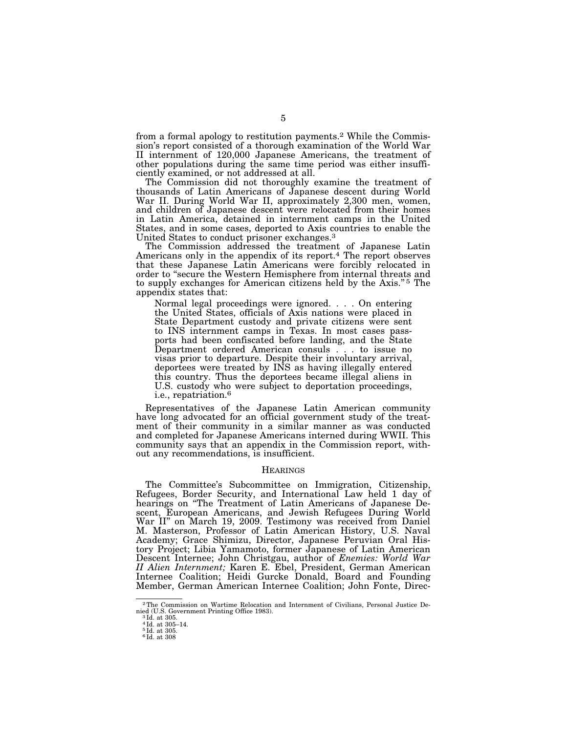from a formal apology to restitution payments.2 While the Commission's report consisted of a thorough examination of the World War II internment of 120,000 Japanese Americans, the treatment of other populations during the same time period was either insufficiently examined, or not addressed at all.

The Commission did not thoroughly examine the treatment of thousands of Latin Americans of Japanese descent during World War II. During World War II, approximately 2,300 men, women, and children of Japanese descent were relocated from their homes in Latin America, detained in internment camps in the United States, and in some cases, deported to Axis countries to enable the United States to conduct prisoner exchanges.3

The Commission addressed the treatment of Japanese Latin Americans only in the appendix of its report.<sup>4</sup> The report observes that these Japanese Latin Americans were forcibly relocated in order to ''secure the Western Hemisphere from internal threats and to supply exchanges for American citizens held by the Axis."<sup>5</sup> The appendix states that:

Normal legal proceedings were ignored. . . . On entering the United States, officials of Axis nations were placed in State Department custody and private citizens were sent to INS internment camps in Texas. In most cases passports had been confiscated before landing, and the State Department ordered American consuls . . . to issue no visas prior to departure. Despite their involuntary arrival, deportees were treated by INS as having illegally entered this country. Thus the deportees became illegal aliens in U.S. custody who were subject to deportation proceedings, i.e., repatriation.6

Representatives of the Japanese Latin American community have long advocated for an official government study of the treatment of their community in a similar manner as was conducted and completed for Japanese Americans interned during WWII. This community says that an appendix in the Commission report, without any recommendations, is insufficient.

#### HEARINGS

The Committee's Subcommittee on Immigration, Citizenship, Refugees, Border Security, and International Law held 1 day of hearings on ''The Treatment of Latin Americans of Japanese Descent, European Americans, and Jewish Refugees During World War II'' on March 19, 2009. Testimony was received from Daniel M. Masterson, Professor of Latin American History, U.S. Naval Academy; Grace Shimizu, Director, Japanese Peruvian Oral History Project; Libia Yamamoto, former Japanese of Latin American Descent Internee; John Christgau, author of *Enemies: World War II Alien Internment;* Karen E. Ebel, President, German American Internee Coalition; Heidi Gurcke Donald, Board and Founding Member, German American Internee Coalition; John Fonte, Direc-

 $^2\mathrm{The}$  Commission on Wartime Relocation and Internment of Civilians, Personal Justice De-nied (U.S. Government Printing Office 1983).  $^{3}\mathrm{Id.}$  at 305.

<sup>4</sup> Id. at 305–14. 5 Id. at 305.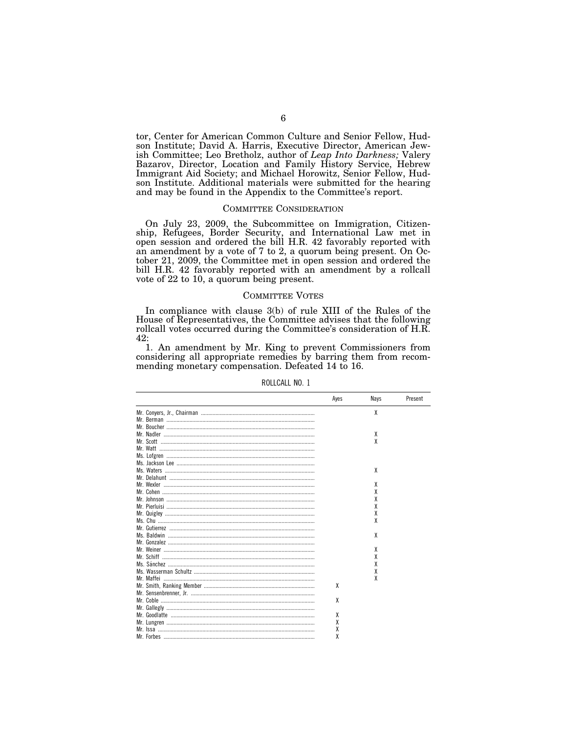tor, Center for American Common Culture and Senior Fellow, Hudson Institute; David A. Harris, Executive Director, American Jewish Committee; Leo Bretholz, author of *Leap Into Darkness;* Valery Bazarov, Director, Location and Family History Service, Hebrew Immigrant Aid Society; and Michael Horowitz, Senior Fellow, Hudson Institute. Additional materials were submitted for the hearing and may be found in the Appendix to the Committee's report.

# COMMITTEE CONSIDERATION

On July 23, 2009, the Subcommittee on Immigration, Citizenship, Refugees, Border Security, and International Law met in open session and ordered the bill H.R. 42 favorably reported with an amendment by a vote of 7 to 2, a quorum being present. On October 21, 2009, the Committee met in open session and ordered the bill H.R. 42 favorably reported with an amendment by a rollcall vote of 22 to 10, a quorum being present.

# COMMITTEE VOTES

In compliance with clause 3(b) of rule XIII of the Rules of the House of Representatives, the Committee advises that the following rollcall votes occurred during the Committee's consideration of H.R. 42:

1. An amendment by Mr. King to prevent Commissioners from considering all appropriate remedies by barring them from recommending monetary compensation. Defeated 14 to 16.

| Ayes | Nays | Present |
|------|------|---------|
|      | X    |         |
|      |      |         |
|      |      |         |
|      | Х    |         |
|      | χ    |         |
|      |      |         |
|      |      |         |
|      |      |         |
|      | X    |         |
|      |      |         |
|      | x    |         |
|      | χ    |         |
|      | χ    |         |
|      | χ    |         |
|      | χ    |         |
|      | χ    |         |
|      |      |         |
|      | χ    |         |
|      |      |         |
|      | χ    |         |
|      | χ    |         |
|      | χ    |         |
|      | χ    |         |
|      | χ    |         |
| X    |      |         |
|      |      |         |
| X    |      |         |
|      |      |         |
| X    |      |         |
| χ    |      |         |
| χ    |      |         |
| χ    |      |         |

ROLLCALL NO. 1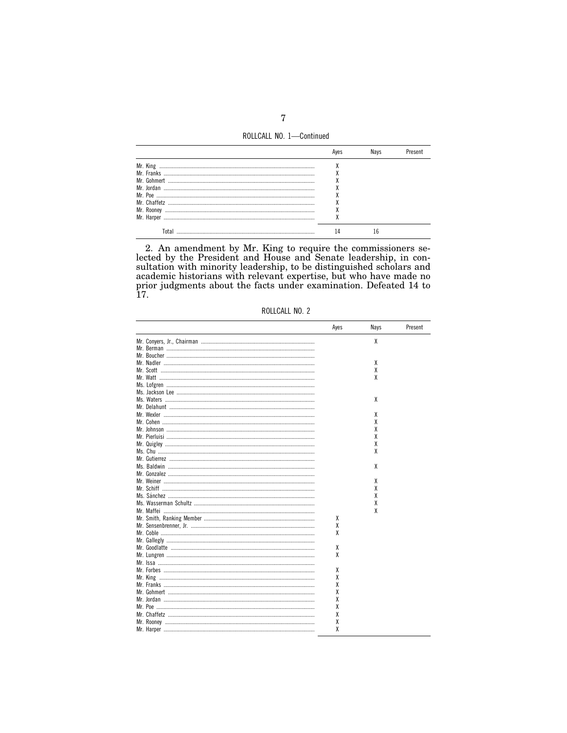ROLLCALL NO. 1-Continued

| Mr. King     |  |  |
|--------------|--|--|
| Mr. Franks   |  |  |
| Mr Gohmert   |  |  |
| Mr. Jordan   |  |  |
| Mr. Poe      |  |  |
| Mr. Chaffetz |  |  |
| Mr. Roonev   |  |  |
| Mr. Harper   |  |  |
|              |  |  |

2. An amendment by Mr. King to require the commissioners selected by the President and House and Senate leadership, in consultation with minority leadership, to be distinguished scholars and academic historians with relev Ì7.

ROLLCALL NO. 2

| Ayes | Nays | Present |
|------|------|---------|
|      | χ    |         |
|      |      |         |
|      |      |         |
|      | χ    |         |
|      | χ    |         |
|      | X    |         |
|      |      |         |
|      |      |         |
|      | χ    |         |
|      |      |         |
|      | x    |         |
|      | χ    |         |
|      | χ    |         |
|      | χ    |         |
|      | χ    |         |
|      | x    |         |
|      |      |         |
|      | x    |         |
|      |      |         |
|      | x    |         |
|      | χ    |         |
|      | X    |         |
|      | χ    |         |
|      | X    |         |
| χ    |      |         |
| χ    |      |         |
| χ    |      |         |
|      |      |         |
| χ    |      |         |
| χ    |      |         |
|      |      |         |
|      |      |         |
| χ    |      |         |
| χ    |      |         |
| χ    |      |         |
| χ    |      |         |
| χ    |      |         |
| χ    |      |         |
| χ    |      |         |
| χ    |      |         |
| χ    |      |         |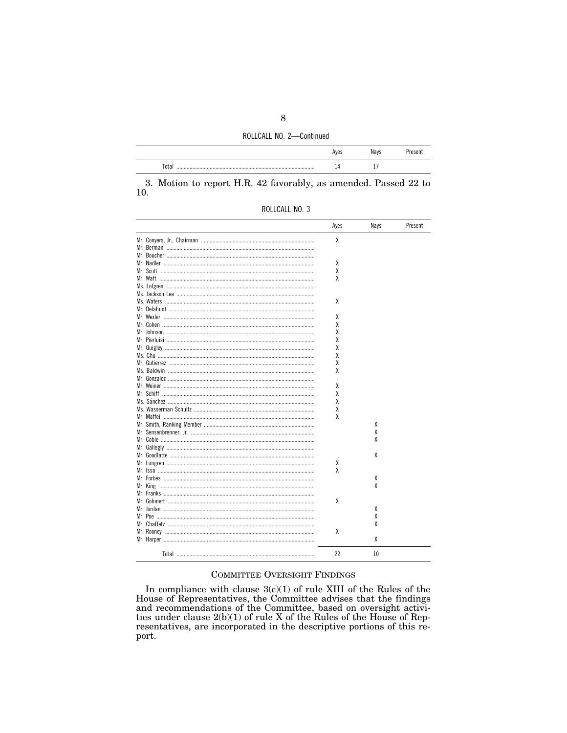ROLLCALL NO. 2-Continued

|       | . iyes |                          |  |
|-------|--------|--------------------------|--|
| Total |        | $\overline{\phantom{a}}$ |  |

3. Motion to report H.R. 42 favorably, as amended. Passed 22 to 10.

|                                                | Ayes | Nays | Present |
|------------------------------------------------|------|------|---------|
|                                                | X    |      |         |
|                                                |      |      |         |
|                                                |      |      |         |
| Mr. Nadler …………………………………………………………………………………………… | X    |      |         |
|                                                | χ    |      |         |
|                                                | χ    |      |         |
|                                                |      |      |         |
|                                                |      |      |         |
|                                                | χ    |      |         |
|                                                |      |      |         |
|                                                | χ    |      |         |
|                                                | χ    |      |         |
|                                                | χ    |      |         |
|                                                | χ    |      |         |
|                                                | χ    |      |         |
|                                                | χ    |      |         |
|                                                | χ    |      |         |
|                                                | χ    |      |         |
|                                                |      |      |         |
|                                                | χ    |      |         |
|                                                | χ    |      |         |
|                                                | χ    |      |         |
|                                                |      |      |         |
|                                                | χ    |      |         |
|                                                | χ    |      |         |
|                                                |      | x    |         |
|                                                |      | χ    |         |
|                                                |      | χ    |         |
|                                                |      |      |         |
|                                                |      | χ    |         |
|                                                | χ    |      |         |
|                                                | X    |      |         |
|                                                |      | x    |         |
|                                                |      | χ    |         |
|                                                |      |      |         |
|                                                | χ    |      |         |
|                                                |      | x    |         |
|                                                |      | χ    |         |
|                                                |      | χ    |         |
|                                                | χ    |      |         |
|                                                |      | χ    |         |
| $T0+0$                                         | つつ   | 10   |         |

# COMMITTEE OVERSIGHT FINDINGS

In compliance with clause  $3(c)(1)$  of rule XIII of the Rules of the<br>House of Representatives, the Committee advises that the findings<br>and recommendations of the Committee, based on oversight activi-<br>ties under clause  $2(b)(1$ resentatives, are incorporated in the descriptive portions of this report.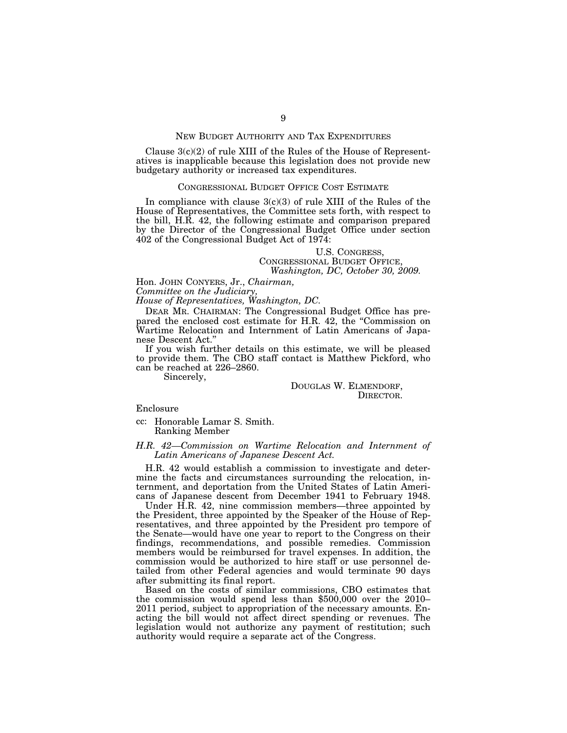# NEW BUDGET AUTHORITY AND TAX EXPENDITURES

Clause  $3(c)(2)$  of rule XIII of the Rules of the House of Representatives is inapplicable because this legislation does not provide new budgetary authority or increased tax expenditures.

# CONGRESSIONAL BUDGET OFFICE COST ESTIMATE

In compliance with clause  $3(c)(3)$  of rule XIII of the Rules of the House of Representatives, the Committee sets forth, with respect to the bill, H.R. 42, the following estimate and comparison prepared by the Director of the Congressional Budget Office under section 402 of the Congressional Budget Act of 1974:

# U.S. CONGRESS, CONGRESSIONAL BUDGET OFFICE, *Washington, DC, October 30, 2009.*

Hon. JOHN CONYERS, Jr., *Chairman,* 

*Committee on the Judiciary,* 

*House of Representatives, Washington, DC.* 

DEAR MR. CHAIRMAN: The Congressional Budget Office has prepared the enclosed cost estimate for H.R. 42, the "Commission on Wartime Relocation and Internment of Latin Americans of Japanese Descent Act.''

If you wish further details on this estimate, we will be pleased to provide them. The CBO staff contact is Matthew Pickford, who can be reached at 226–2860.

Sincerely,

DOUGLAS W. ELMENDORF, DIRECTOR.

Enclosure

cc: Honorable Lamar S. Smith. Ranking Member

# *H.R. 42—Commission on Wartime Relocation and Internment of Latin Americans of Japanese Descent Act.*

H.R. 42 would establish a commission to investigate and determine the facts and circumstances surrounding the relocation, internment, and deportation from the United States of Latin Americans of Japanese descent from December 1941 to February 1948.

Under H.R. 42, nine commission members—three appointed by the President, three appointed by the Speaker of the House of Representatives, and three appointed by the President pro tempore of the Senate—would have one year to report to the Congress on their findings, recommendations, and possible remedies. Commission members would be reimbursed for travel expenses. In addition, the commission would be authorized to hire staff or use personnel detailed from other Federal agencies and would terminate 90 days after submitting its final report.

Based on the costs of similar commissions, CBO estimates that the commission would spend less than \$500,000 over the 2010– 2011 period, subject to appropriation of the necessary amounts. Enacting the bill would not affect direct spending or revenues. The legislation would not authorize any payment of restitution; such authority would require a separate act of the Congress.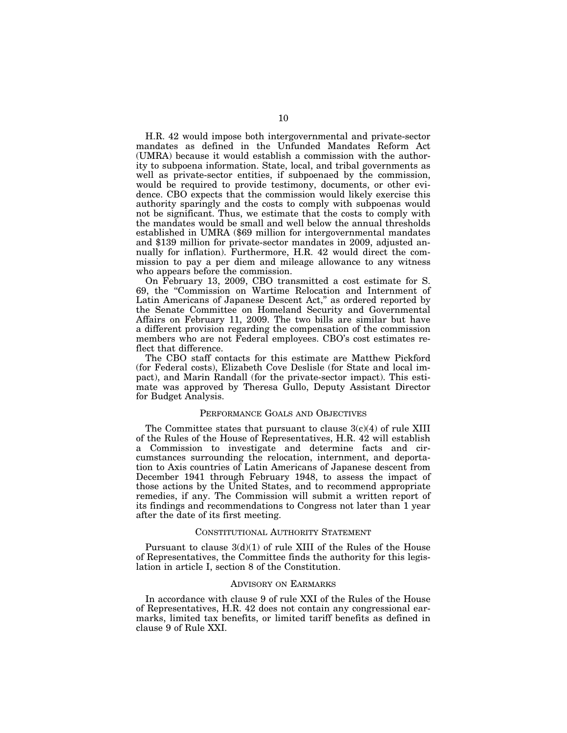H.R. 42 would impose both intergovernmental and private-sector mandates as defined in the Unfunded Mandates Reform Act (UMRA) because it would establish a commission with the authority to subpoena information. State, local, and tribal governments as well as private-sector entities, if subpoenaed by the commission, would be required to provide testimony, documents, or other evidence. CBO expects that the commission would likely exercise this authority sparingly and the costs to comply with subpoenas would not be significant. Thus, we estimate that the costs to comply with the mandates would be small and well below the annual thresholds established in UMRA (\$69 million for intergovernmental mandates and \$139 million for private-sector mandates in 2009, adjusted annually for inflation). Furthermore, H.R. 42 would direct the commission to pay a per diem and mileage allowance to any witness who appears before the commission.

On February 13, 2009, CBO transmitted a cost estimate for S. 69, the ''Commission on Wartime Relocation and Internment of Latin Americans of Japanese Descent Act," as ordered reported by the Senate Committee on Homeland Security and Governmental Affairs on February 11, 2009. The two bills are similar but have a different provision regarding the compensation of the commission members who are not Federal employees. CBO's cost estimates reflect that difference.

The CBO staff contacts for this estimate are Matthew Pickford (for Federal costs), Elizabeth Cove Deslisle (for State and local impact), and Marin Randall (for the private-sector impact). This estimate was approved by Theresa Gullo, Deputy Assistant Director for Budget Analysis.

#### PERFORMANCE GOALS AND OBJECTIVES

The Committee states that pursuant to clause  $3(c)(4)$  of rule XIII of the Rules of the House of Representatives, H.R. 42 will establish a Commission to investigate and determine facts and circumstances surrounding the relocation, internment, and deportation to Axis countries of Latin Americans of Japanese descent from December 1941 through February 1948, to assess the impact of those actions by the United States, and to recommend appropriate remedies, if any. The Commission will submit a written report of its findings and recommendations to Congress not later than 1 year after the date of its first meeting.

#### CONSTITUTIONAL AUTHORITY STATEMENT

Pursuant to clause  $3(d)(1)$  of rule XIII of the Rules of the House of Representatives, the Committee finds the authority for this legislation in article I, section 8 of the Constitution.

#### ADVISORY ON EARMARKS

In accordance with clause 9 of rule XXI of the Rules of the House of Representatives, H.R. 42 does not contain any congressional earmarks, limited tax benefits, or limited tariff benefits as defined in clause 9 of Rule XXI.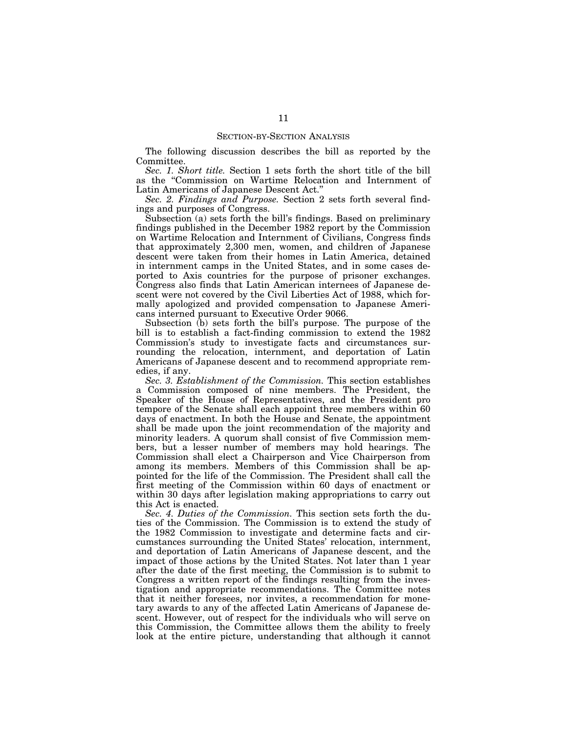The following discussion describes the bill as reported by the Committee.

*Sec. 1. Short title.* Section 1 sets forth the short title of the bill as the ''Commission on Wartime Relocation and Internment of Latin Americans of Japanese Descent Act.''

*Sec. 2. Findings and Purpose.* Section 2 sets forth several findings and purposes of Congress.

Subsection (a) sets forth the bill's findings. Based on preliminary findings published in the December 1982 report by the Commission on Wartime Relocation and Internment of Civilians, Congress finds that approximately 2,300 men, women, and children of Japanese descent were taken from their homes in Latin America, detained in internment camps in the United States, and in some cases deported to Axis countries for the purpose of prisoner exchanges. Congress also finds that Latin American internees of Japanese descent were not covered by the Civil Liberties Act of 1988, which formally apologized and provided compensation to Japanese Americans interned pursuant to Executive Order 9066.

Subsection (b) sets forth the bill's purpose. The purpose of the bill is to establish a fact-finding commission to extend the 1982 Commission's study to investigate facts and circumstances surrounding the relocation, internment, and deportation of Latin Americans of Japanese descent and to recommend appropriate remedies, if any.

*Sec. 3. Establishment of the Commission.* This section establishes a Commission composed of nine members. The President, the Speaker of the House of Representatives, and the President pro tempore of the Senate shall each appoint three members within 60 days of enactment. In both the House and Senate, the appointment shall be made upon the joint recommendation of the majority and minority leaders. A quorum shall consist of five Commission members, but a lesser number of members may hold hearings. The Commission shall elect a Chairperson and Vice Chairperson from among its members. Members of this Commission shall be appointed for the life of the Commission. The President shall call the first meeting of the Commission within 60 days of enactment or within 30 days after legislation making appropriations to carry out this Act is enacted.

*Sec. 4. Duties of the Commission.* This section sets forth the duties of the Commission. The Commission is to extend the study of the 1982 Commission to investigate and determine facts and circumstances surrounding the United States' relocation, internment, and deportation of Latin Americans of Japanese descent, and the impact of those actions by the United States. Not later than 1 year after the date of the first meeting, the Commission is to submit to Congress a written report of the findings resulting from the investigation and appropriate recommendations. The Committee notes that it neither foresees, nor invites, a recommendation for monetary awards to any of the affected Latin Americans of Japanese descent. However, out of respect for the individuals who will serve on this Commission, the Committee allows them the ability to freely look at the entire picture, understanding that although it cannot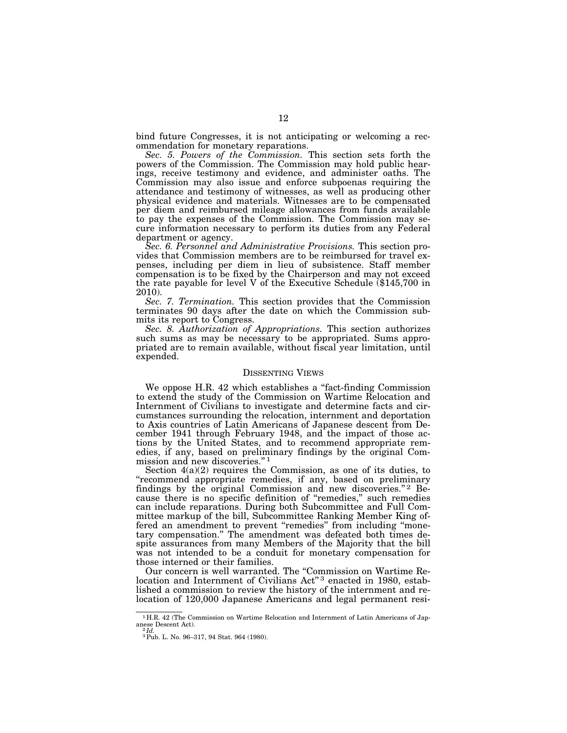bind future Congresses, it is not anticipating or welcoming a recommendation for monetary reparations.

*Sec. 5. Powers of the Commission.* This section sets forth the powers of the Commission. The Commission may hold public hearings, receive testimony and evidence, and administer oaths. The Commission may also issue and enforce subpoenas requiring the attendance and testimony of witnesses, as well as producing other physical evidence and materials. Witnesses are to be compensated per diem and reimbursed mileage allowances from funds available to pay the expenses of the Commission. The Commission may secure information necessary to perform its duties from any Federal department or agency.

*Sec. 6. Personnel and Administrative Provisions.* This section provides that Commission members are to be reimbursed for travel expenses, including per diem in lieu of subsistence. Staff member compensation is to be fixed by the Chairperson and may not exceed the rate payable for level V of the Executive Schedule (\$145,700 in 2010).

*Sec. 7. Termination.* This section provides that the Commission terminates 90 days after the date on which the Commission submits its report to Congress.

*Sec. 8. Authorization of Appropriations.* This section authorizes such sums as may be necessary to be appropriated. Sums appropriated are to remain available, without fiscal year limitation, until expended.

# DISSENTING VIEWS

We oppose H.R. 42 which establishes a "fact-finding Commission" to extend the study of the Commission on Wartime Relocation and Internment of Civilians to investigate and determine facts and circumstances surrounding the relocation, internment and deportation to Axis countries of Latin Americans of Japanese descent from December 1941 through February 1948, and the impact of those actions by the United States, and to recommend appropriate remedies, if any, based on preliminary findings by the original Commission and new discoveries."<sup>1</sup>

Section 4(a)(2) requires the Commission, as one of its duties, to ''recommend appropriate remedies, if any, based on preliminary findings by the original Commission and new discoveries."<sup>2</sup> Because there is no specific definition of ''remedies,'' such remedies can include reparations. During both Subcommittee and Full Committee markup of the bill, Subcommittee Ranking Member King offered an amendment to prevent "remedies" from including "monetary compensation.'' The amendment was defeated both times despite assurances from many Members of the Majority that the bill was not intended to be a conduit for monetary compensation for those interned or their families.

Our concern is well warranted. The ''Commission on Wartime Relocation and Internment of Civilians Act"<sup>3</sup> enacted in 1980, established a commission to review the history of the internment and relocation of 120,000 Japanese Americans and legal permanent resi-

<sup>1</sup> H.R. 42 (The Commission on Wartime Relocation and Internment of Latin Americans of Japanese Descent Act). 2 *Id.* 

<sup>3</sup>Pub. L. No. 96–317, 94 Stat. 964 (1980).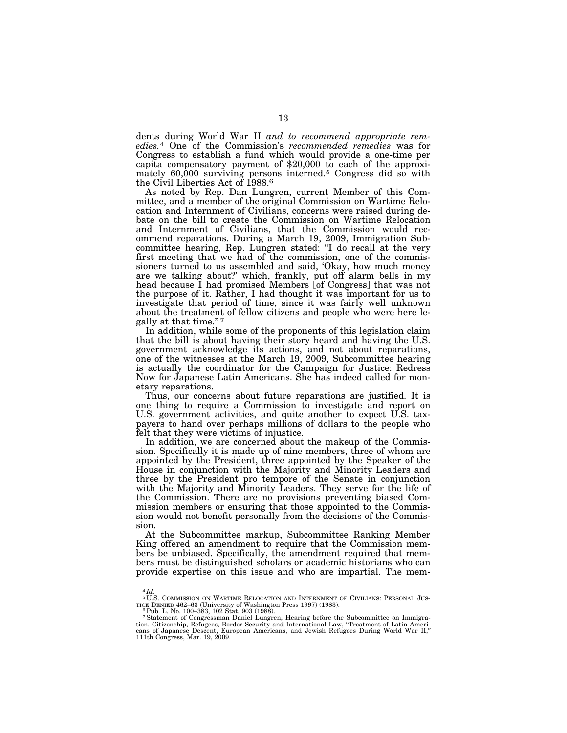dents during World War II *and to recommend appropriate remedies.*4 One of the Commission's *recommended remedies* was for Congress to establish a fund which would provide a one-time per capita compensatory payment of \$20,000 to each of the approximately 60,000 surviving persons interned.5 Congress did so with the Civil Liberties Act of 1988.6

As noted by Rep. Dan Lungren, current Member of this Committee, and a member of the original Commission on Wartime Relocation and Internment of Civilians, concerns were raised during debate on the bill to create the Commission on Wartime Relocation and Internment of Civilians, that the Commission would recommend reparations. During a March 19, 2009, Immigration Subcommittee hearing, Rep. Lungren stated: ''I do recall at the very first meeting that we had of the commission, one of the commissioners turned to us assembled and said, 'Okay, how much money are we talking about?' which, frankly, put off alarm bells in my head because I had promised Members [of Congress] that was not the purpose of it. Rather, I had thought it was important for us to investigate that period of time, since it was fairly well unknown about the treatment of fellow citizens and people who were here legally at that time.'' 7

In addition, while some of the proponents of this legislation claim that the bill is about having their story heard and having the U.S. government acknowledge its actions, and not about reparations, one of the witnesses at the March 19, 2009, Subcommittee hearing is actually the coordinator for the Campaign for Justice: Redress Now for Japanese Latin Americans. She has indeed called for monetary reparations.

Thus, our concerns about future reparations are justified. It is one thing to require a Commission to investigate and report on U.S. government activities, and quite another to expect U.S. taxpayers to hand over perhaps millions of dollars to the people who felt that they were victims of injustice.

In addition, we are concerned about the makeup of the Commission. Specifically it is made up of nine members, three of whom are appointed by the President, three appointed by the Speaker of the House in conjunction with the Majority and Minority Leaders and three by the President pro tempore of the Senate in conjunction with the Majority and Minority Leaders. They serve for the life of the Commission. There are no provisions preventing biased Commission members or ensuring that those appointed to the Commission would not benefit personally from the decisions of the Commission.

At the Subcommittee markup, Subcommittee Ranking Member King offered an amendment to require that the Commission members be unbiased. Specifically, the amendment required that members must be distinguished scholars or academic historians who can provide expertise on this issue and who are impartial. The mem-

<sup>4</sup> *Id.*  <sup>5</sup>U.S. COMMISSION ON WARTIME RELOCATION AND INTERNMENT OF CIVILIANS: PERSONAL JUS-TICE DENIED 462–63 (University of Washington Press 1997) (1983). 6Pub. L. No. 100–383, 102 Stat. 903 (1988).

<sup>&</sup>lt;sup>7</sup> Statement of Congressman Daniel Lungren, Hearing before the Subcommittee on Immigration. Citizenship, Refugees, Border Security and International Law, "Treatment of Latin Americans of Japanese Descent, European Americ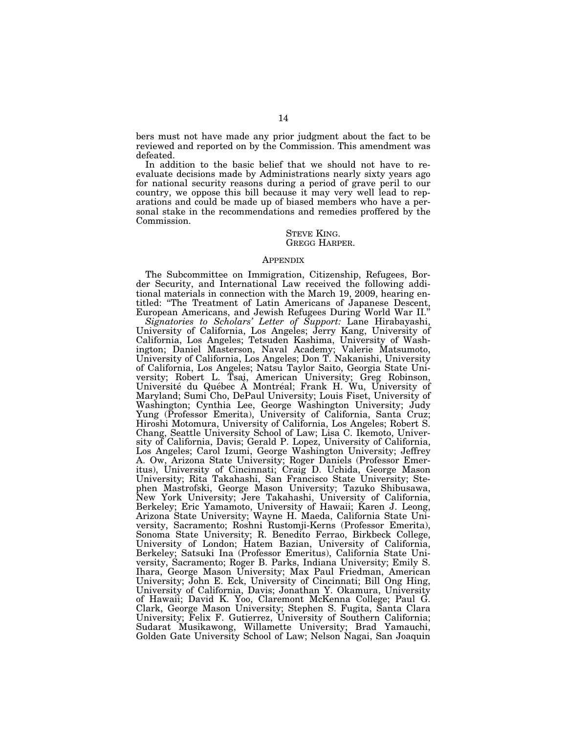bers must not have made any prior judgment about the fact to be reviewed and reported on by the Commission. This amendment was defeated.

In addition to the basic belief that we should not have to reevaluate decisions made by Administrations nearly sixty years ago for national security reasons during a period of grave peril to our country, we oppose this bill because it may very well lead to reparations and could be made up of biased members who have a personal stake in the recommendations and remedies proffered by the Commission.

> STEVE KING. GREGG HARPER.

#### APPENDIX

The Subcommittee on Immigration, Citizenship, Refugees, Border Security, and International Law received the following additional materials in connection with the March 19, 2009, hearing entitled: ''The Treatment of Latin Americans of Japanese Descent, European Americans, and Jewish Refugees During World War II.''

*Signatories to Scholars' Letter of Support:* Lane Hirabayashi, University of California, Los Angeles; Jerry Kang, University of California, Los Angeles; Tetsuden Kashima, University of Washington; Daniel Masterson, Naval Academy; Valerie Matsumoto, University of California, Los Angeles; Don T. Nakanishi, University of California, Los Angeles; Natsu Taylor Saito, Georgia State University; Robert L. Tsai, American University; Greg Robinson,<br>Université du Québec À Montréal; Frank H. Wu, University of Maryland; Sumi Cho, DePaul University; Louis Fiset, University of Washington; Cynthia Lee, George Washington University; Judy Yung (Professor Emerita), University of California, Santa Cruz; Hiroshi Motomura, University of California, Los Angeles; Robert S. Chang, Seattle University School of Law; Lisa C. Ikemoto, University of California, Davis; Gerald P. Lopez, University of California, Los Angeles; Carol Izumi, George Washington University; Jeffrey A. Ow, Arizona State University; Roger Daniels (Professor Emeritus), University of Cincinnati; Craig D. Uchida, George Mason University; Rita Takahashi, San Francisco State University; Stephen Mastrofski, George Mason University; Tazuko Shibusawa, New York University; Jere Takahashi, University of California, Berkeley; Eric Yamamoto, University of Hawaii; Karen J. Leong, Arizona State University; Wayne H. Maeda, California State University, Sacramento; Roshni Rustomji-Kerns (Professor Emerita), Sonoma State University; R. Benedito Ferrao, Birkbeck College, University of London; Hatem Bazian, University of California, Berkeley; Satsuki Ina (Professor Emeritus), California State University, Sacramento; Roger B. Parks, Indiana University; Emily S. Ihara, George Mason University; Max Paul Friedman, American University; John E. Eck, University of Cincinnati; Bill Ong Hing, University of California, Davis; Jonathan Y. Okamura, University of Hawaii; David K. Yoo, Claremont McKenna College; Paul G. Clark, George Mason University; Stephen S. Fugita, Santa Clara University; Felix F. Gutierrez, University of Southern California; Sudarat Musikawong, Willamette University; Brad Yamauchi, Golden Gate University School of Law; Nelson Nagai, San Joaquin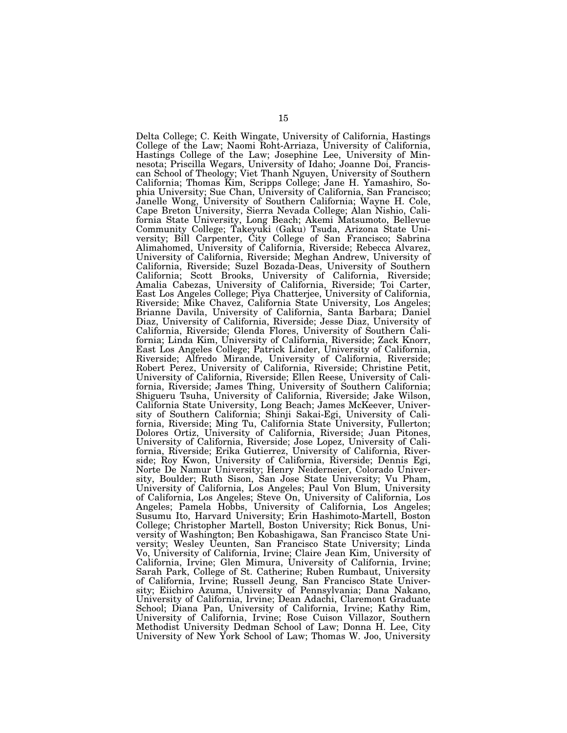Delta College; C. Keith Wingate, University of California, Hastings College of the Law; Naomi Roht-Arriaza, University of California, Hastings College of the Law; Josephine Lee, University of Minnesota; Priscilla Wegars, University of Idaho; Joanne Doi, Franciscan School of Theology; Viet Thanh Nguyen, University of Southern California; Thomas Kim, Scripps College; Jane H. Yamashiro, Sophia University; Sue Chan, University of California, San Francisco; Janelle Wong, University of Southern California; Wayne H. Cole, Cape Breton University, Sierra Nevada College; Alan Nishio, California State University, Long Beach; Akemi Matsumoto, Bellevue Community College; Takeyuki (Gaku) Tsuda, Arizona State University; Bill Carpenter, City College of San Francisco; Sabrina Alimahomed, University of California, Riverside; Rebecca Alvarez, University of California, Riverside; Meghan Andrew, University of California, Riverside; Suzel Bozada-Deas, University of Southern California; Scott Brooks, University of California, Riverside; Amalia Cabezas, University of California, Riverside; Toi Carter, East Los Angeles College; Piya Chatterjee, University of California, Riverside; Mike Chavez, California State University, Los Angeles; Brianne Davila, University of California, Santa Barbara; Daniel Diaz, University of California, Riverside; Jesse Diaz, University of California, Riverside; Glenda Flores, University of Southern California; Linda Kim, University of California, Riverside; Zack Knorr, East Los Angeles College; Patrick Linder, University of California, Riverside; Alfredo Mirande, University of California, Riverside; Robert Perez, University of California, Riverside; Christine Petit, University of California, Riverside; Ellen Reese, University of California, Riverside; James Thing, University of Southern California; Shigueru Tsuha, University of California, Riverside; Jake Wilson, California State University, Long Beach; James McKeever, University of Southern California; Shinji Sakai-Egi, University of California, Riverside; Ming Tu, California State University, Fullerton; Dolores Ortiz, University of California, Riverside; Juan Pitones, University of California, Riverside; Jose Lopez, University of California, Riverside; Erika Gutierrez, University of California, Riverside; Roy Kwon, University of California, Riverside; Dennis Egi, Norte De Namur University; Henry Neiderneier, Colorado University, Boulder; Ruth Sison, San Jose State University; Vu Pham, University of California, Los Angeles; Paul Von Blum, University of California, Los Angeles; Steve On, University of California, Los Angeles; Pamela Hobbs, University of California, Los Angeles; Susumu Ito, Harvard University; Erin Hashimoto-Martell, Boston College; Christopher Martell, Boston University; Rick Bonus, University of Washington; Ben Kobashigawa, San Francisco State University; Wesley Ueunten, San Francisco State University; Linda Vo, University of California, Irvine; Claire Jean Kim, University of California, Irvine; Glen Mimura, University of California, Irvine; Sarah Park, College of St. Catherine; Ruben Rumbaut, University of California, Irvine; Russell Jeung, San Francisco State University; Eiichiro Azuma, University of Pennsylvania; Dana Nakano, University of California, Irvine; Dean Adachi, Claremont Graduate School; Diana Pan, University of California, Irvine; Kathy Rim, University of California, Irvine; Rose Cuison Villazor, Southern Methodist University Dedman School of Law; Donna H. Lee, City University of New York School of Law; Thomas W. Joo, University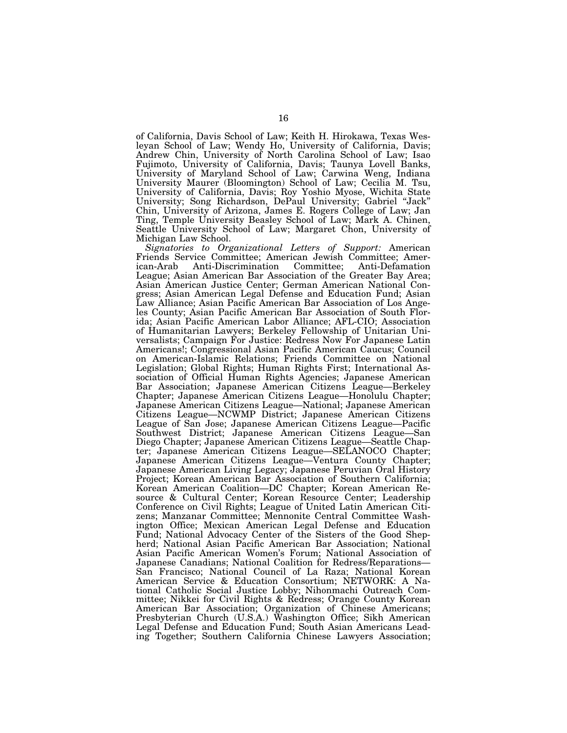of California, Davis School of Law; Keith H. Hirokawa, Texas Wesleyan School of Law; Wendy Ho, University of California, Davis; Andrew Chin, University of North Carolina School of Law; Isao Fujimoto, University of California, Davis; Taunya Lovell Banks, University of Maryland School of Law; Carwina Weng, Indiana University Maurer (Bloomington) School of Law; Cecilia M. Tsu, University of California, Davis; Roy Yoshio Myose, Wichita State University; Song Richardson, DePaul University; Gabriel ''Jack'' Chin, University of Arizona, James E. Rogers College of Law; Jan Ting, Temple University Beasley School of Law; Mark A. Chinen, Seattle University School of Law; Margaret Chon, University of Michigan Law School.

*Signatories to Organizational Letters of Support:* American Friends Service Committee; American Jewish Committee; American-Arab Anti-Discrimination Committee; Anti-Defamation League; Asian American Bar Association of the Greater Bay Area; Asian American Justice Center; German American National Congress; Asian American Legal Defense and Education Fund; Asian Law Alliance; Asian Pacific American Bar Association of Los Angeles County; Asian Pacific American Bar Association of South Florida; Asian Pacific American Labor Alliance; AFL-CIO; Association of Humanitarian Lawyers; Berkeley Fellowship of Unitarian Universalists; Campaign For Justice: Redress Now For Japanese Latin Americans!; Congressional Asian Pacific American Caucus; Council on American-Islamic Relations; Friends Committee on National Legislation; Global Rights; Human Rights First; International Association of Official Human Rights Agencies; Japanese American Bar Association; Japanese American Citizens League—Berkeley Chapter; Japanese American Citizens League—Honolulu Chapter; Japanese American Citizens League—National; Japanese American Citizens League—NCWMP District; Japanese American Citizens League of San Jose; Japanese American Citizens League—Pacific Southwest District; Japanese American Citizens League—San Diego Chapter; Japanese American Citizens League—Seattle Chapter; Japanese American Citizens League—SELANOCO Chapter; Japanese American Citizens League—Ventura County Chapter; Japanese American Living Legacy; Japanese Peruvian Oral History Project; Korean American Bar Association of Southern California; Korean American Coalition—DC Chapter; Korean American Resource & Cultural Center; Korean Resource Center; Leadership Conference on Civil Rights; League of United Latin American Citizens; Manzanar Committee; Mennonite Central Committee Washington Office; Mexican American Legal Defense and Education Fund; National Advocacy Center of the Sisters of the Good Shepherd; National Asian Pacific American Bar Association; National Asian Pacific American Women's Forum; National Association of Japanese Canadians; National Coalition for Redress/Reparations— San Francisco; National Council of La Raza; National Korean American Service & Education Consortium; NETWORK: A National Catholic Social Justice Lobby; Nihonmachi Outreach Committee; Nikkei for Civil Rights & Redress; Orange County Korean American Bar Association; Organization of Chinese Americans; Presbyterian Church (U.S.A.) Washington Office; Sikh American Legal Defense and Education Fund; South Asian Americans Leading Together; Southern California Chinese Lawyers Association;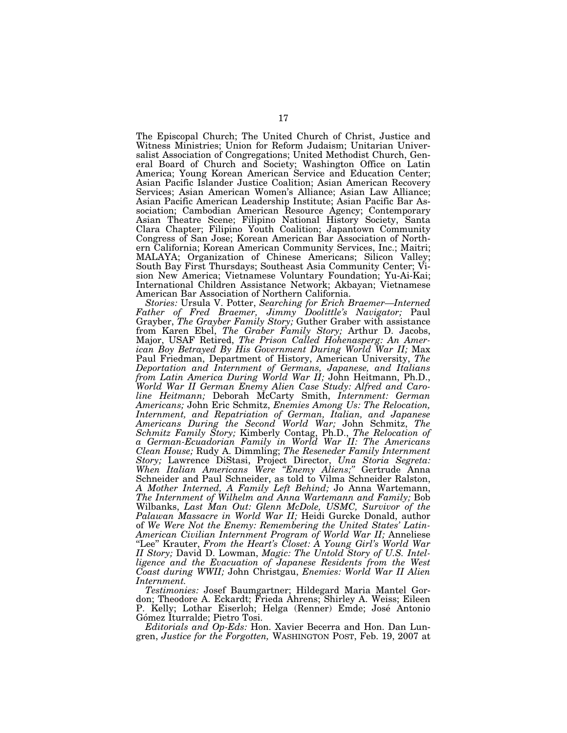The Episcopal Church; The United Church of Christ, Justice and Witness Ministries; Union for Reform Judaism; Unitarian Universalist Association of Congregations; United Methodist Church, General Board of Church and Society; Washington Office on Latin America; Young Korean American Service and Education Center; Asian Pacific Islander Justice Coalition; Asian American Recovery Services; Asian American Women's Alliance; Asian Law Alliance; Asian Pacific American Leadership Institute; Asian Pacific Bar Association; Cambodian American Resource Agency; Contemporary Asian Theatre Scene; Filipino National History Society, Santa Clara Chapter; Filipino Youth Coalition; Japantown Community Congress of San Jose; Korean American Bar Association of Northern California; Korean American Community Services, Inc.; Maitri; MALAYA; Organization of Chinese Americans; Silicon Valley; South Bay First Thursdays; Southeast Asia Community Center; Vision New America; Vietnamese Voluntary Foundation; Yu-Ai-Kai; International Children Assistance Network; Akbayan; Vietnamese American Bar Association of Northern California.

*Stories:* Ursula V. Potter, *Searching for Erich Braemer—Interned Father of Fred Braemer, Jimmy Doolittle's Navigator;* Paul Grayber, *The Grayber Family Story;* Guther Graber with assistance from Karen Ebel, *The Graber Family Story;* Arthur D. Jacobs, Major, USAF Retired, *The Prison Called Hohenasperg: An American Boy Betrayed By His Government During World War II;* Max Paul Friedman, Department of History, American University, *The Deportation and Internment of Germans, Japanese, and Italians from Latin America During World War II;* John Heitmann, Ph.D., *World War II German Enemy Alien Case Study: Alfred and Caroline Heitmann;* Deborah McCarty Smith, *Internment: German Americans;* John Eric Schmitz, *Enemies Among Us: The Relocation, Internment, and Repatriation of German, Italian, and Japanese Americans During the Second World War;* John Schmitz, *The Schmitz Family Story;* Kimberly Contag, Ph.D., *The Relocation of a German-Ecuadorian Family in World War II: The Americans Clean House;* Rudy A. Dimmling; *The Reseneder Family Internment Story;* Lawrence DiStasi, Project Director, *Una Storia Segreta: When Italian Americans Were ''Enemy Aliens;''* Gertrude Anna Schneider and Paul Schneider, as told to Vilma Schneider Ralston, *A Mother Interned, A Family Left Behind;* Jo Anna Wartemann, *The Internment of Wilhelm and Anna Wartemann and Family;* Bob Wilbanks, *Last Man Out: Glenn McDole, USMC, Survivor of the Palawan Massacre in World War II;* Heidi Gurcke Donald, author of *We Were Not the Enemy: Remembering the United States' Latin-American Civilian Internment Program of World War II;* Anneliese ''Lee'' Krauter, *From the Heart's Closet: A Young Girl's World War II Story;* David D. Lowman, *Magic: The Untold Story of U.S. Intelligence and the Evacuation of Japanese Residents from the West Coast during WWII;* John Christgau, *Enemies: World War II Alien Internment.* 

*Testimonies:* Josef Baumgartner; Hildegard Maria Mantel Gordon; Theodore A. Eckardt; Frieda Ahrens; Shirley A. Weiss; Eileen P. Kelly; Lothar Eiserloh; Helga (Renner) Emde; Jose´ Antonio Gómez Iturralde; Pietro Tosi.

*Editorials and Op-Eds:* Hon. Xavier Becerra and Hon. Dan Lungren, *Justice for the Forgotten,* WASHINGTON POST, Feb. 19, 2007 at